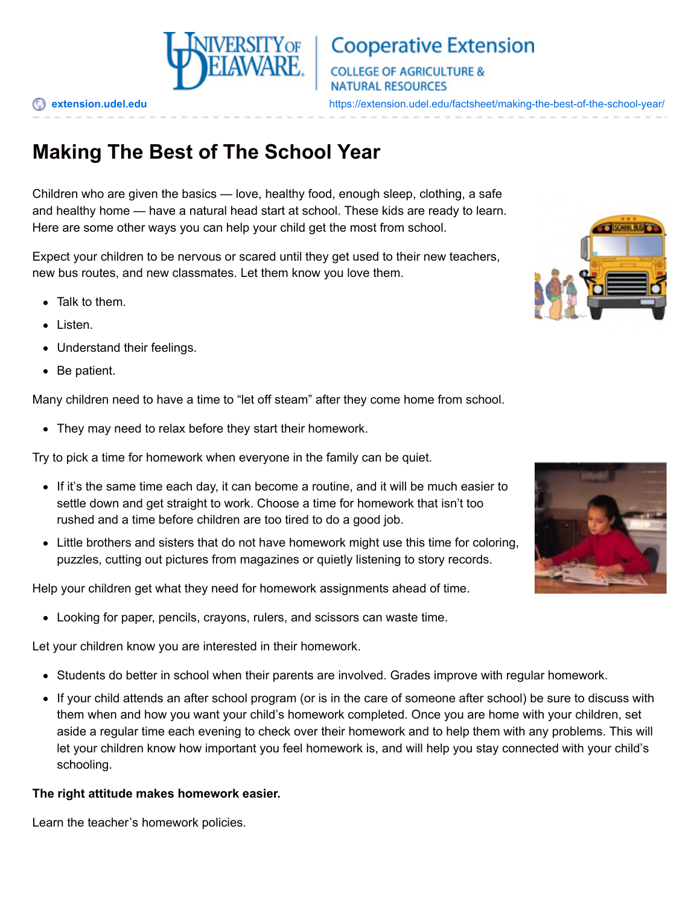

# **Cooperative Extension**

**COLLEGE OF AGRICULTURE & NATURAL RESOURCES** 

**[extension.udel.edu](https://extension.udel.edu)** <https://extension.udel.edu/factsheet/making-the-best-of-the-school-year/>

# **Making The Best of The School Year**

Children who are given the basics — love, healthy food, enough sleep, clothing, a safe and healthy home — have a natural head start at school. These kids are ready to learn. Here are some other ways you can help your child get the most from school.

Expect your children to be nervous or scared until they get used to their new teachers, new bus routes, and new classmates. Let them know you love them.

- Talk to them.
- Listen.
- Understand their feelings.
- Be patient.

Many children need to have a time to "let off steam" after they come home from school.

They may need to relax before they start their homework.

Try to pick a time for homework when everyone in the family can be quiet.

- If it's the same time each day, it can become a routine, and it will be much easier to settle down and get straight to work. Choose a time for homework that isn't too rushed and a time before children are too tired to do a good job.
- Little brothers and sisters that do not have homework might use this time for coloring, puzzles, cutting out pictures from magazines or quietly listening to story records.

Help your children get what they need for homework assignments ahead of time.

Looking for paper, pencils, crayons, rulers, and scissors can waste time.

Let your children know you are interested in their homework.

- Students do better in school when their parents are involved. Grades improve with regular homework.
- If your child attends an after school program (or is in the care of someone after school) be sure to discuss with them when and how you want your child's homework completed. Once you are home with your children, set aside a regular time each evening to check over their homework and to help them with any problems. This will let your children know how important you feel homework is, and will help you stay connected with your child's schooling.

#### **The right attitude makes homework easier.**

Learn the teacher's homework policies.



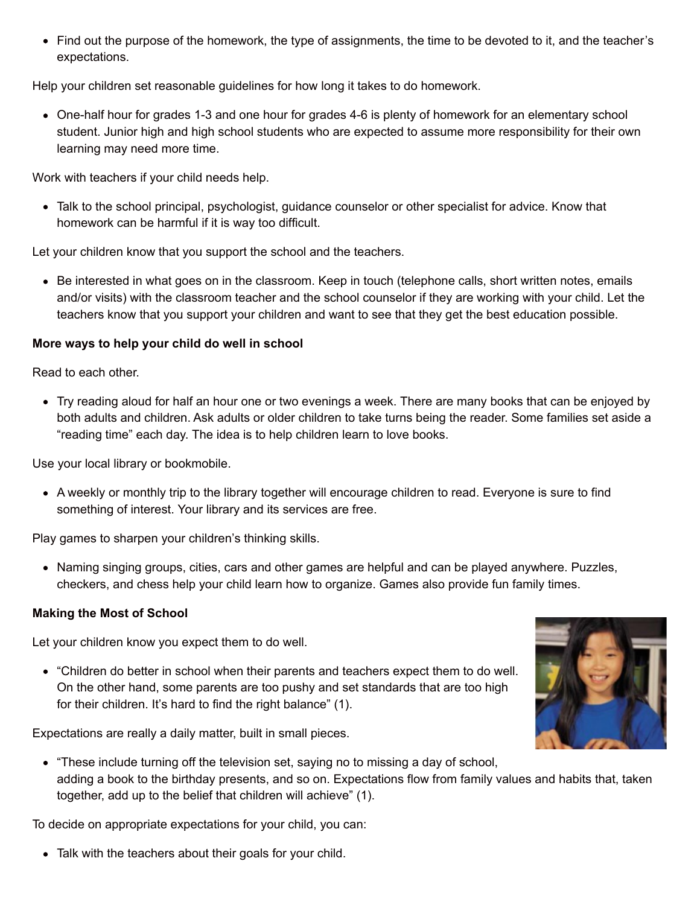Find out the purpose of the homework, the type of assignments, the time to be devoted to it, and the teacher's expectations.

Help your children set reasonable guidelines for how long it takes to do homework.

One-half hour for grades 1-3 and one hour for grades 4-6 is plenty of homework for an elementary school student. Junior high and high school students who are expected to assume more responsibility for their own learning may need more time.

Work with teachers if your child needs help.

Talk to the school principal, psychologist, guidance counselor or other specialist for advice. Know that homework can be harmful if it is way too difficult.

Let your children know that you support the school and the teachers.

• Be interested in what goes on in the classroom. Keep in touch (telephone calls, short written notes, emails and/or visits) with the classroom teacher and the school counselor if they are working with your child. Let the teachers know that you support your children and want to see that they get the best education possible.

### **More ways to help your child do well in school**

Read to each other.

Try reading aloud for half an hour one or two evenings a week. There are many books that can be enjoyed by both adults and children. Ask adults or older children to take turns being the reader. Some families set aside a "reading time" each day. The idea is to help children learn to love books.

Use your local library or bookmobile.

A weekly or monthly trip to the library together will encourage children to read. Everyone is sure to find something of interest. Your library and its services are free.

Play games to sharpen your children's thinking skills.

• Naming singing groups, cities, cars and other games are helpful and can be played anywhere. Puzzles, checkers, and chess help your child learn how to organize. Games also provide fun family times.

#### **Making the Most of School**

Let your children know you expect them to do well.

"Children do better in school when their parents and teachers expect them to do well. On the other hand, some parents are too pushy and set standards that are too high for their children. It's hard to find the right balance" (1).

Expectations are really a daily matter, built in small pieces.

- 
- "These include turning off the television set, saying no to missing a day of school, adding a book to the birthday presents, and so on. Expectations flow from family values and habits that, taken together, add up to the belief that children will achieve" (1).

To decide on appropriate expectations for your child, you can:

Talk with the teachers about their goals for your child.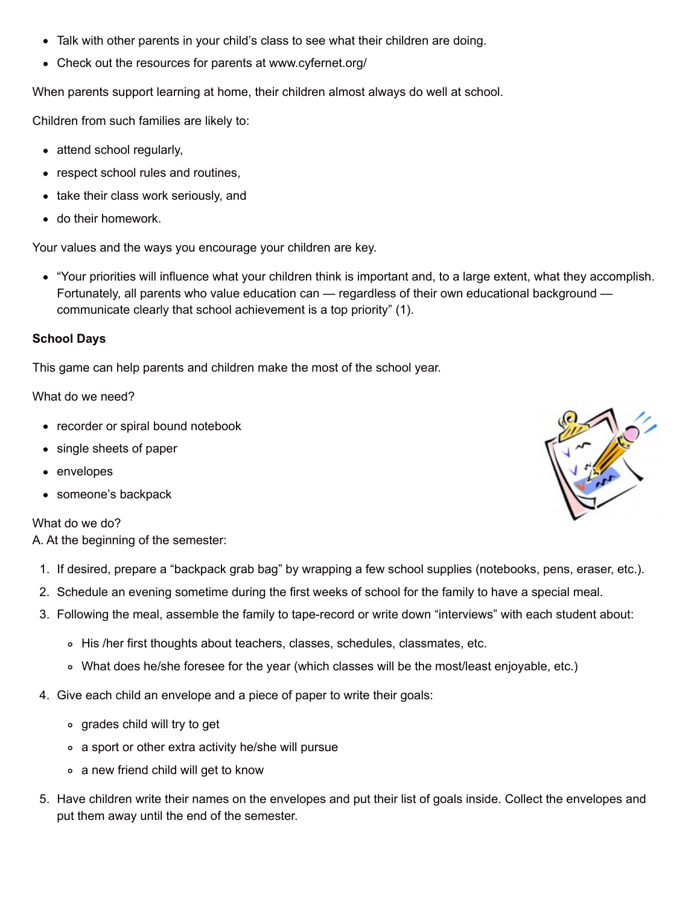- Talk with other parents in your child's class to see what their children are doing.
- Check out the resources for parents at www.cyfernet.org/

When parents support learning at home, their children almost always do well at school.

Children from such families are likely to:

- attend school regularly,
- respect school rules and routines,
- take their class work seriously, and
- do their homework.

Your values and the ways you encourage your children are key.

"Your priorities will influence what your children think is important and, to a large extent, what they accomplish. Fortunately, all parents who value education can — regardless of their own educational background communicate clearly that school achievement is a top priority" (1).

#### **School Days**

This game can help parents and children make the most of the school year.

#### What do we need?

- recorder or spiral bound notebook
- single sheets of paper
- envelopes
- someone's backpack

#### What do we do?

A. At the beginning of the semester:

- 1. If desired, prepare a "backpack grab bag" by wrapping a few school supplies (notebooks, pens, eraser, etc.).
- 2. Schedule an evening sometime during the first weeks of school for the family to have a special meal.
- 3. Following the meal, assemble the family to tape-record or write down "interviews" with each student about:
	- o His /her first thoughts about teachers, classes, schedules, classmates, etc.
	- What does he/she foresee for the year (which classes will be the most/least enjoyable, etc.)
- 4. Give each child an envelope and a piece of paper to write their goals:
	- grades child will try to get
	- a sport or other extra activity he/she will pursue
	- a new friend child will get to know
- 5. Have children write their names on the envelopes and put their list of goals inside. Collect the envelopes and put them away until the end of the semester.